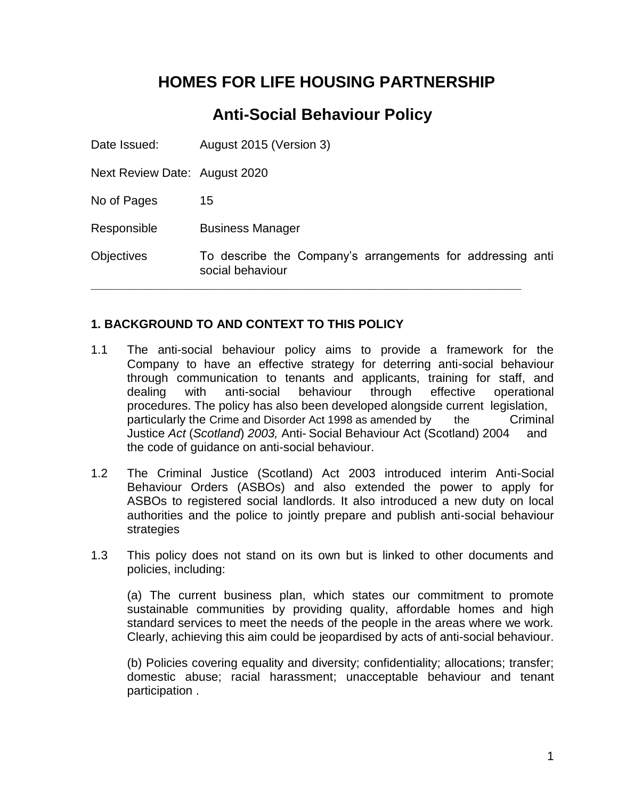# **HOMES FOR LIFE HOUSING PARTNERSHIP**

## **Anti-Social Behaviour Policy**

Date Issued: August 2015 (Version 3) Next Review Date: August 2020 No of Pages 15 Responsible Business Manager Objectives To describe the Company's arrangements for addressing anti social behaviour **\_\_\_\_\_\_\_\_\_\_\_\_\_\_\_\_\_\_\_\_\_\_\_\_\_\_\_\_\_\_\_\_\_\_\_\_\_\_\_\_\_\_\_\_\_\_\_\_\_\_\_\_\_\_\_\_\_\_\_\_\_\_\_\_**

#### **1. BACKGROUND TO AND CONTEXT TO THIS POLICY**

- 1.1 The anti-social behaviour policy aims to provide a framework for the Company to have an effective strategy for deterring anti-social behaviour through communication to tenants and applicants, training for staff, and dealing with anti-social behaviour through effective operational procedures. The policy has also been developed alongside current legislation, particularly the Crime and Disorder Act 1998 as amended by the Criminal Justice *Act* (*Scotland*) *2003,* Anti- Social Behaviour Act (Scotland) 2004 and the code of guidance on anti-social behaviour.
- 1.2 The Criminal Justice (Scotland) Act 2003 introduced interim Anti-Social Behaviour Orders (ASBOs) and also extended the power to apply for ASBOs to registered social landlords. It also introduced a new duty on local authorities and the police to jointly prepare and publish anti-social behaviour strategies
- 1.3 This policy does not stand on its own but is linked to other documents and policies, including:

(a) The current business plan, which states our commitment to promote sustainable communities by providing quality, affordable homes and high standard services to meet the needs of the people in the areas where we work. Clearly, achieving this aim could be jeopardised by acts of anti-social behaviour.

(b) Policies covering equality and diversity; confidentiality; allocations; transfer; domestic abuse; racial harassment; unacceptable behaviour and tenant participation .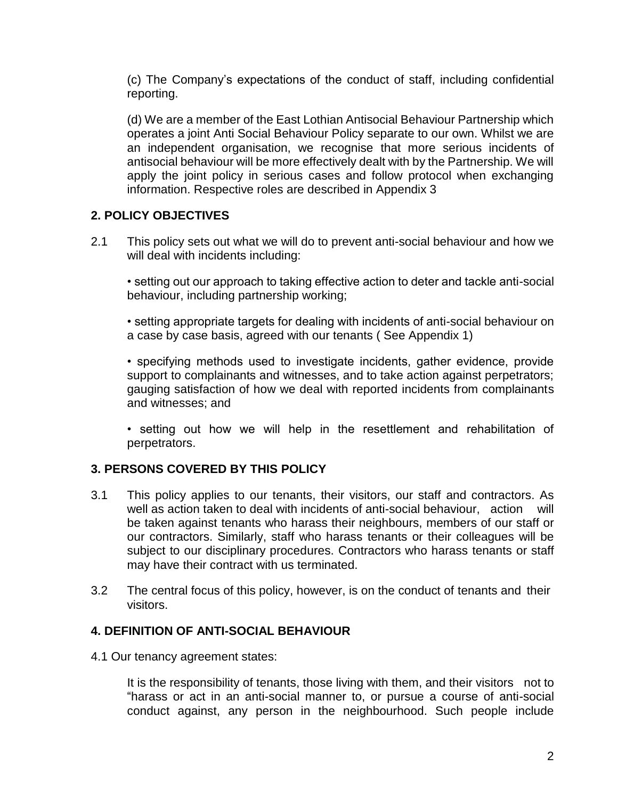(c) The Company's expectations of the conduct of staff, including confidential reporting.

(d) We are a member of the East Lothian Antisocial Behaviour Partnership which operates a joint Anti Social Behaviour Policy separate to our own. Whilst we are an independent organisation, we recognise that more serious incidents of antisocial behaviour will be more effectively dealt with by the Partnership. We will apply the joint policy in serious cases and follow protocol when exchanging information. Respective roles are described in Appendix 3

#### **2. POLICY OBJECTIVES**

2.1 This policy sets out what we will do to prevent anti-social behaviour and how we will deal with incidents including:

• setting out our approach to taking effective action to deter and tackle anti-social behaviour, including partnership working;

• setting appropriate targets for dealing with incidents of anti-social behaviour on a case by case basis, agreed with our tenants ( See Appendix 1)

• specifying methods used to investigate incidents, gather evidence, provide support to complainants and witnesses, and to take action against perpetrators; gauging satisfaction of how we deal with reported incidents from complainants and witnesses; and

• setting out how we will help in the resettlement and rehabilitation of perpetrators.

### **3. PERSONS COVERED BY THIS POLICY**

- 3.1 This policy applies to our tenants, their visitors, our staff and contractors. As well as action taken to deal with incidents of anti-social behaviour, action will be taken against tenants who harass their neighbours, members of our staff or our contractors. Similarly, staff who harass tenants or their colleagues will be subject to our disciplinary procedures. Contractors who harass tenants or staff may have their contract with us terminated.
- 3.2 The central focus of this policy, however, is on the conduct of tenants and their visitors.

### **4. DEFINITION OF ANTI-SOCIAL BEHAVIOUR**

4.1 Our tenancy agreement states:

It is the responsibility of tenants, those living with them, and their visitors not to "harass or act in an anti-social manner to, or pursue a course of anti-social conduct against, any person in the neighbourhood. Such people include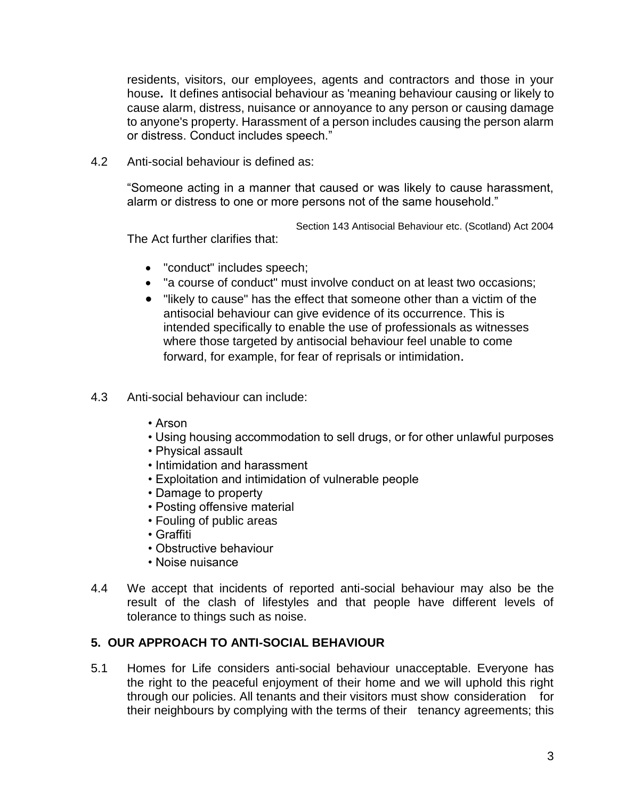residents, visitors, our employees, agents and contractors and those in your house**.** It defines antisocial behaviour as 'meaning behaviour causing or likely to cause alarm, distress, nuisance or annoyance to any person or causing damage to anyone's property. Harassment of a person includes causing the person alarm or distress. Conduct includes speech."

4.2 Anti-social behaviour is defined as:

"Someone acting in a manner that caused or was likely to cause harassment, alarm or distress to one or more persons not of the same household."

Section 143 Antisocial Behaviour etc. (Scotland) Act 2004

The Act further clarifies that:

- "conduct" includes speech;
- "a course of conduct" must involve conduct on at least two occasions;
- "likely to cause" has the effect that someone other than a victim of the antisocial behaviour can give evidence of its occurrence. This is intended specifically to enable the use of professionals as witnesses where those targeted by antisocial behaviour feel unable to come forward, for example, for fear of reprisals or intimidation.
- 4.3 Anti-social behaviour can include:
	- Arson
	- Using housing accommodation to sell drugs, or for other unlawful purposes
	- Physical assault
	- Intimidation and harassment
	- Exploitation and intimidation of vulnerable people
	- Damage to property
	- Posting offensive material
	- Fouling of public areas
	- Graffiti
	- Obstructive behaviour
	- Noise nuisance
- 4.4 We accept that incidents of reported anti-social behaviour may also be the result of the clash of lifestyles and that people have different levels of tolerance to things such as noise.

#### **5. OUR APPROACH TO ANTI-SOCIAL BEHAVIOUR**

5.1 Homes for Life considers anti-social behaviour unacceptable. Everyone has the right to the peaceful enjoyment of their home and we will uphold this right through our policies. All tenants and their visitors must show consideration for their neighbours by complying with the terms of their tenancy agreements; this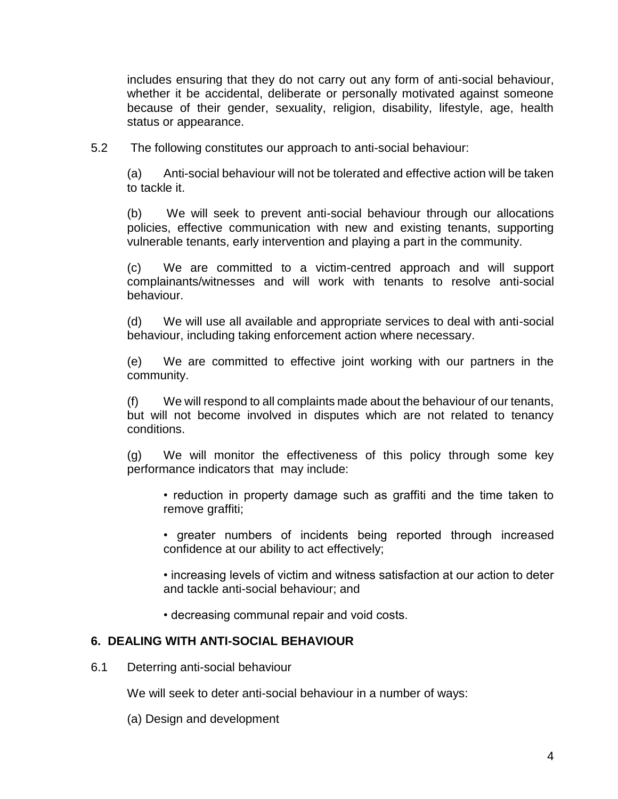includes ensuring that they do not carry out any form of anti-social behaviour, whether it be accidental, deliberate or personally motivated against someone because of their gender, sexuality, religion, disability, lifestyle, age, health status or appearance.

5.2 The following constitutes our approach to anti-social behaviour:

(a) Anti-social behaviour will not be tolerated and effective action will be taken to tackle it.

(b) We will seek to prevent anti-social behaviour through our allocations policies, effective communication with new and existing tenants, supporting vulnerable tenants, early intervention and playing a part in the community.

(c) We are committed to a victim-centred approach and will support complainants/witnesses and will work with tenants to resolve anti-social behaviour.

(d) We will use all available and appropriate services to deal with anti-social behaviour, including taking enforcement action where necessary.

(e) We are committed to effective joint working with our partners in the community.

(f) We will respond to all complaints made about the behaviour of our tenants, but will not become involved in disputes which are not related to tenancy conditions.

(g) We will monitor the effectiveness of this policy through some key performance indicators that may include:

• reduction in property damage such as graffiti and the time taken to remove graffiti;

• greater numbers of incidents being reported through increased confidence at our ability to act effectively;

• increasing levels of victim and witness satisfaction at our action to deter and tackle anti-social behaviour; and

• decreasing communal repair and void costs.

#### **6. DEALING WITH ANTI-SOCIAL BEHAVIOUR**

6.1 Deterring anti-social behaviour

We will seek to deter anti-social behaviour in a number of ways:

(a) Design and development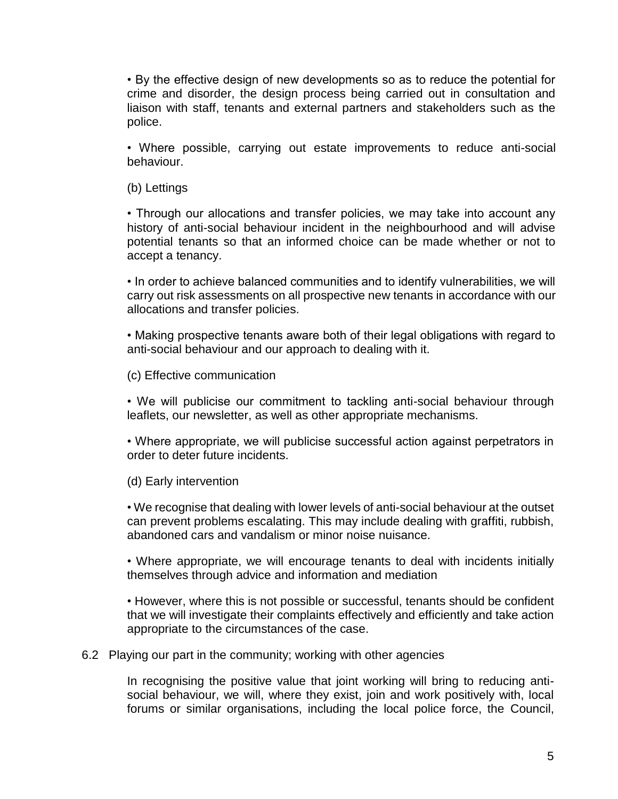• By the effective design of new developments so as to reduce the potential for crime and disorder, the design process being carried out in consultation and liaison with staff, tenants and external partners and stakeholders such as the police.

• Where possible, carrying out estate improvements to reduce anti-social behaviour.

(b) Lettings

• Through our allocations and transfer policies, we may take into account any history of anti-social behaviour incident in the neighbourhood and will advise potential tenants so that an informed choice can be made whether or not to accept a tenancy.

• In order to achieve balanced communities and to identify vulnerabilities, we will carry out risk assessments on all prospective new tenants in accordance with our allocations and transfer policies.

• Making prospective tenants aware both of their legal obligations with regard to anti-social behaviour and our approach to dealing with it.

(c) Effective communication

• We will publicise our commitment to tackling anti-social behaviour through leaflets, our newsletter, as well as other appropriate mechanisms.

• Where appropriate, we will publicise successful action against perpetrators in order to deter future incidents.

(d) Early intervention

• We recognise that dealing with lower levels of anti-social behaviour at the outset can prevent problems escalating. This may include dealing with graffiti, rubbish, abandoned cars and vandalism or minor noise nuisance.

• Where appropriate, we will encourage tenants to deal with incidents initially themselves through advice and information and mediation

• However, where this is not possible or successful, tenants should be confident that we will investigate their complaints effectively and efficiently and take action appropriate to the circumstances of the case.

6.2 Playing our part in the community; working with other agencies

In recognising the positive value that joint working will bring to reducing antisocial behaviour, we will, where they exist, join and work positively with, local forums or similar organisations, including the local police force, the Council,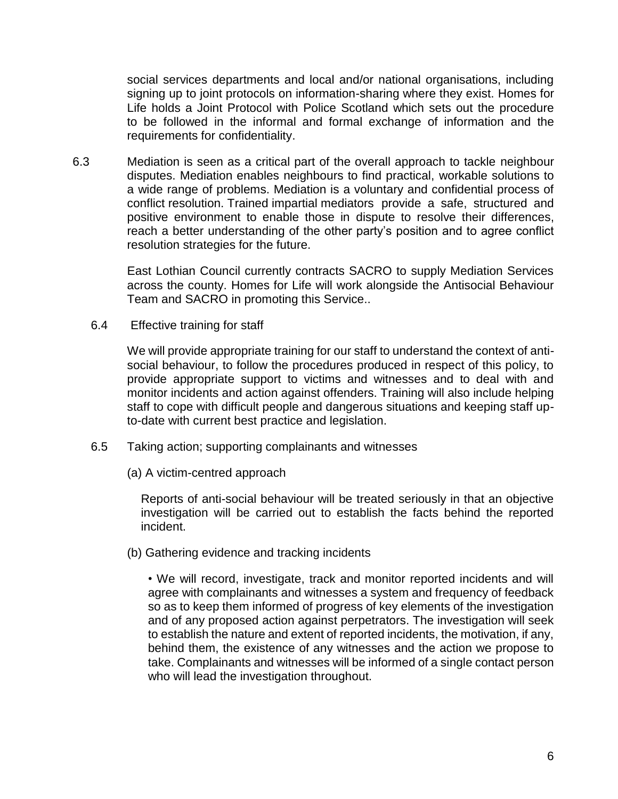social services departments and local and/or national organisations, including signing up to joint protocols on information-sharing where they exist. Homes for Life holds a Joint Protocol with Police Scotland which sets out the procedure to be followed in the informal and formal exchange of information and the requirements for confidentiality.

6.3 Mediation is seen as a critical part of the overall approach to tackle neighbour disputes. Mediation enables neighbours to find practical, workable solutions to a wide range of problems. Mediation is a voluntary and confidential process of conflict resolution. Trained impartial mediators provide a safe, structured and positive environment to enable those in dispute to resolve their differences, reach a better understanding of the other party's position and to agree conflict resolution strategies for the future.

> East Lothian Council currently contracts SACRO to supply Mediation Services across the county. Homes for Life will work alongside the Antisocial Behaviour Team and SACRO in promoting this Service..

6.4 Effective training for staff

We will provide appropriate training for our staff to understand the context of antisocial behaviour, to follow the procedures produced in respect of this policy, to provide appropriate support to victims and witnesses and to deal with and monitor incidents and action against offenders. Training will also include helping staff to cope with difficult people and dangerous situations and keeping staff upto-date with current best practice and legislation.

- 6.5 Taking action; supporting complainants and witnesses
	- (a) A victim-centred approach

Reports of anti-social behaviour will be treated seriously in that an objective investigation will be carried out to establish the facts behind the reported incident.

(b) Gathering evidence and tracking incidents

• We will record, investigate, track and monitor reported incidents and will agree with complainants and witnesses a system and frequency of feedback so as to keep them informed of progress of key elements of the investigation and of any proposed action against perpetrators. The investigation will seek to establish the nature and extent of reported incidents, the motivation, if any, behind them, the existence of any witnesses and the action we propose to take. Complainants and witnesses will be informed of a single contact person who will lead the investigation throughout.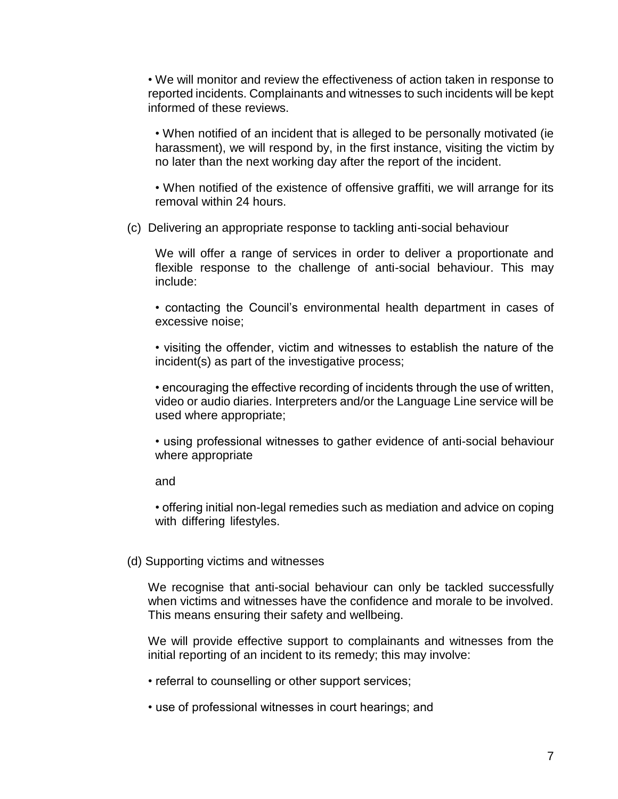• We will monitor and review the effectiveness of action taken in response to reported incidents. Complainants and witnesses to such incidents will be kept informed of these reviews.

• When notified of an incident that is alleged to be personally motivated (ie harassment), we will respond by, in the first instance, visiting the victim by no later than the next working day after the report of the incident.

• When notified of the existence of offensive graffiti, we will arrange for its removal within 24 hours.

(c) Delivering an appropriate response to tackling anti-social behaviour

We will offer a range of services in order to deliver a proportionate and flexible response to the challenge of anti-social behaviour. This may include:

• contacting the Council's environmental health department in cases of excessive noise;

• visiting the offender, victim and witnesses to establish the nature of the incident(s) as part of the investigative process;

• encouraging the effective recording of incidents through the use of written, video or audio diaries. Interpreters and/or the Language Line service will be used where appropriate;

• using professional witnesses to gather evidence of anti-social behaviour where appropriate

and

• offering initial non-legal remedies such as mediation and advice on coping with differing lifestyles.

#### (d) Supporting victims and witnesses

We recognise that anti-social behaviour can only be tackled successfully when victims and witnesses have the confidence and morale to be involved. This means ensuring their safety and wellbeing.

We will provide effective support to complainants and witnesses from the initial reporting of an incident to its remedy; this may involve:

• referral to counselling or other support services;

• use of professional witnesses in court hearings; and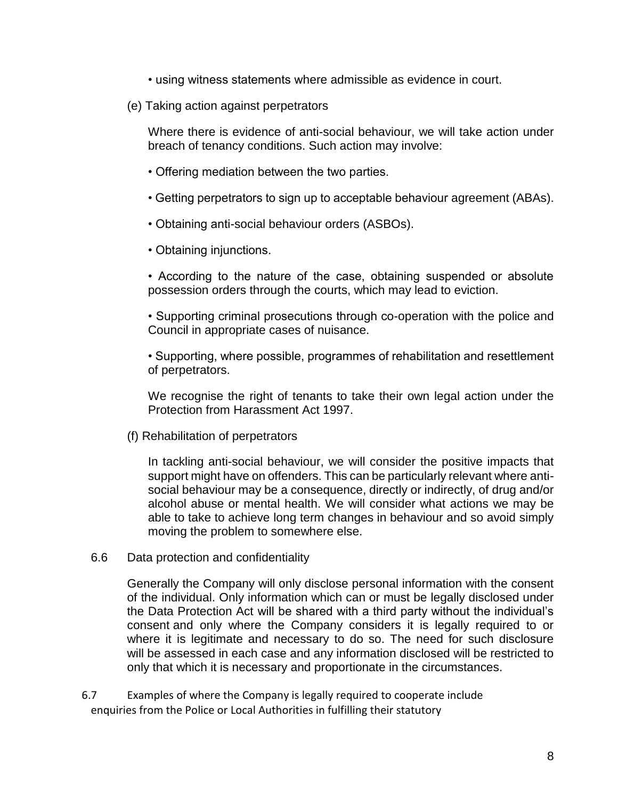- using witness statements where admissible as evidence in court.
- (e) Taking action against perpetrators

Where there is evidence of anti-social behaviour, we will take action under breach of tenancy conditions. Such action may involve:

- Offering mediation between the two parties.
- Getting perpetrators to sign up to acceptable behaviour agreement (ABAs).
- Obtaining anti-social behaviour orders (ASBOs).
- Obtaining injunctions.

• According to the nature of the case, obtaining suspended or absolute possession orders through the courts, which may lead to eviction.

• Supporting criminal prosecutions through co-operation with the police and Council in appropriate cases of nuisance.

• Supporting, where possible, programmes of rehabilitation and resettlement of perpetrators.

We recognise the right of tenants to take their own legal action under the Protection from Harassment Act 1997.

(f) Rehabilitation of perpetrators

In tackling anti-social behaviour, we will consider the positive impacts that support might have on offenders. This can be particularly relevant where antisocial behaviour may be a consequence, directly or indirectly, of drug and/or alcohol abuse or mental health. We will consider what actions we may be able to take to achieve long term changes in behaviour and so avoid simply moving the problem to somewhere else.

6.6 Data protection and confidentiality

Generally the Company will only disclose personal information with the consent of the individual. Only information which can or must be legally disclosed under the Data Protection Act will be shared with a third party without the individual's consent and only where the Company considers it is legally required to or where it is legitimate and necessary to do so. The need for such disclosure will be assessed in each case and any information disclosed will be restricted to only that which it is necessary and proportionate in the circumstances.

6.7 Examples of where the Company is legally required to cooperate include enquiries from the Police or Local Authorities in fulfilling their statutory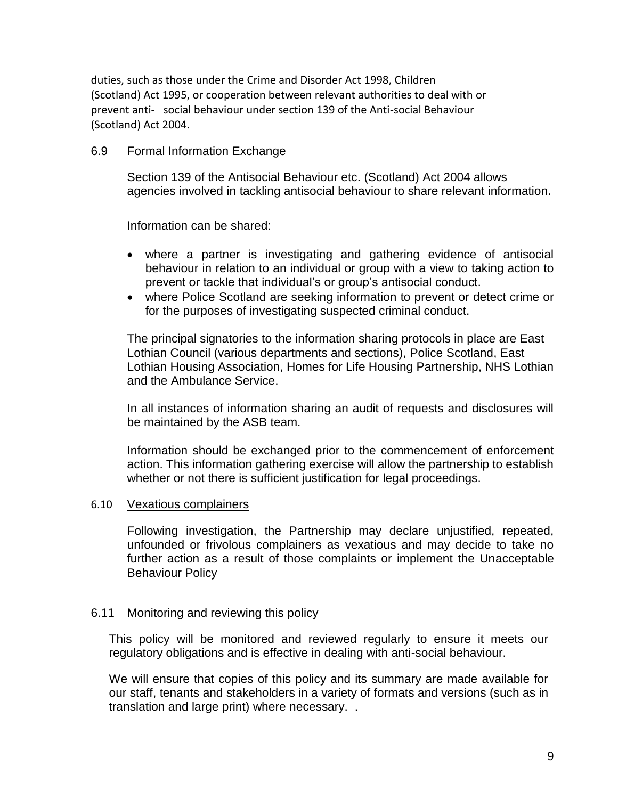duties, such as those under the Crime and Disorder Act 1998, Children (Scotland) Act 1995, or cooperation between relevant authorities to deal with or prevent anti- social behaviour under section 139 of the Anti-social Behaviour (Scotland) Act 2004.

#### 6.9 Formal Information Exchange

Section 139 of the Antisocial Behaviour etc. (Scotland) Act 2004 allows agencies involved in tackling antisocial behaviour to share relevant information**.**

Information can be shared:

- where a partner is investigating and gathering evidence of antisocial behaviour in relation to an individual or group with a view to taking action to prevent or tackle that individual's or group's antisocial conduct.
- where Police Scotland are seeking information to prevent or detect crime or for the purposes of investigating suspected criminal conduct.

The principal signatories to the information sharing protocols in place are East Lothian Council (various departments and sections), Police Scotland, East Lothian Housing Association, Homes for Life Housing Partnership, NHS Lothian and the Ambulance Service.

In all instances of information sharing an audit of requests and disclosures will be maintained by the ASB team.

Information should be exchanged prior to the commencement of enforcement action. This information gathering exercise will allow the partnership to establish whether or not there is sufficient justification for legal proceedings.

#### 6.10 Vexatious complainers

Following investigation, the Partnership may declare unjustified, repeated, unfounded or frivolous complainers as vexatious and may decide to take no further action as a result of those complaints or implement the Unacceptable Behaviour Policy

#### 6.11 Monitoring and reviewing this policy

This policy will be monitored and reviewed regularly to ensure it meets our regulatory obligations and is effective in dealing with anti-social behaviour.

We will ensure that copies of this policy and its summary are made available for our staff, tenants and stakeholders in a variety of formats and versions (such as in translation and large print) where necessary. .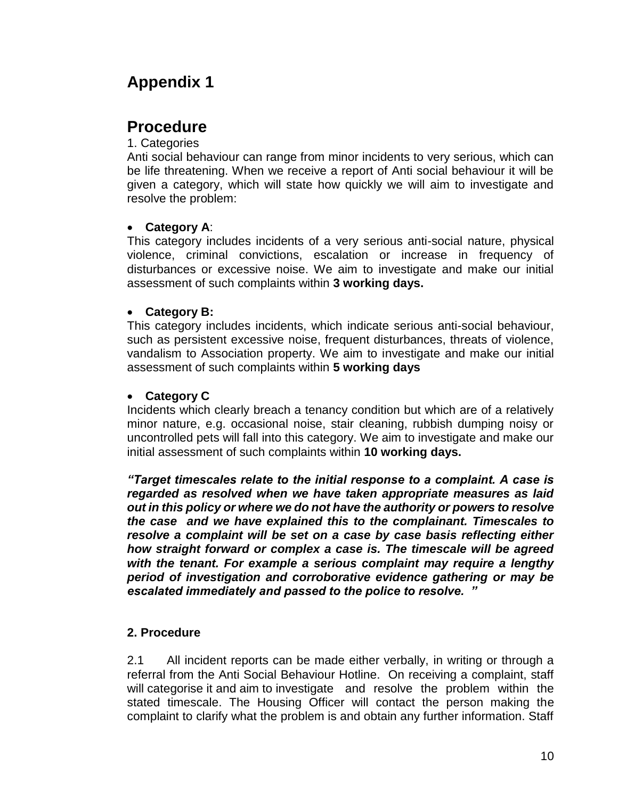# **Appendix 1**

# **Procedure**

#### 1. Categories

Anti social behaviour can range from minor incidents to very serious, which can be life threatening. When we receive a report of Anti social behaviour it will be given a category, which will state how quickly we will aim to investigate and resolve the problem:

#### • **Category A**:

This category includes incidents of a very serious anti-social nature, physical violence, criminal convictions, escalation or increase in frequency of disturbances or excessive noise. We aim to investigate and make our initial assessment of such complaints within **3 working days.**

### • **Category B:**

This category includes incidents, which indicate serious anti-social behaviour, such as persistent excessive noise, frequent disturbances, threats of violence, vandalism to Association property. We aim to investigate and make our initial assessment of such complaints within **5 working days**

### • **Category C**

Incidents which clearly breach a tenancy condition but which are of a relatively minor nature, e.g. occasional noise, stair cleaning, rubbish dumping noisy or uncontrolled pets will fall into this category. We aim to investigate and make our initial assessment of such complaints within **10 working days.**

*"Target timescales relate to the initial response to a complaint. A case is regarded as resolved when we have taken appropriate measures as laid out in this policy or where we do not have the authority or powers to resolve the case and we have explained this to the complainant. Timescales to resolve a complaint will be set on a case by case basis reflecting either how straight forward or complex a case is. The timescale will be agreed with the tenant. For example a serious complaint may require a lengthy period of investigation and corroborative evidence gathering or may be escalated immediately and passed to the police to resolve. "*

### **2. Procedure**

2.1 All incident reports can be made either verbally, in writing or through a referral from the Anti Social Behaviour Hotline. On receiving a complaint, staff will categorise it and aim to investigate and resolve the problem within the stated timescale. The Housing Officer will contact the person making the complaint to clarify what the problem is and obtain any further information. Staff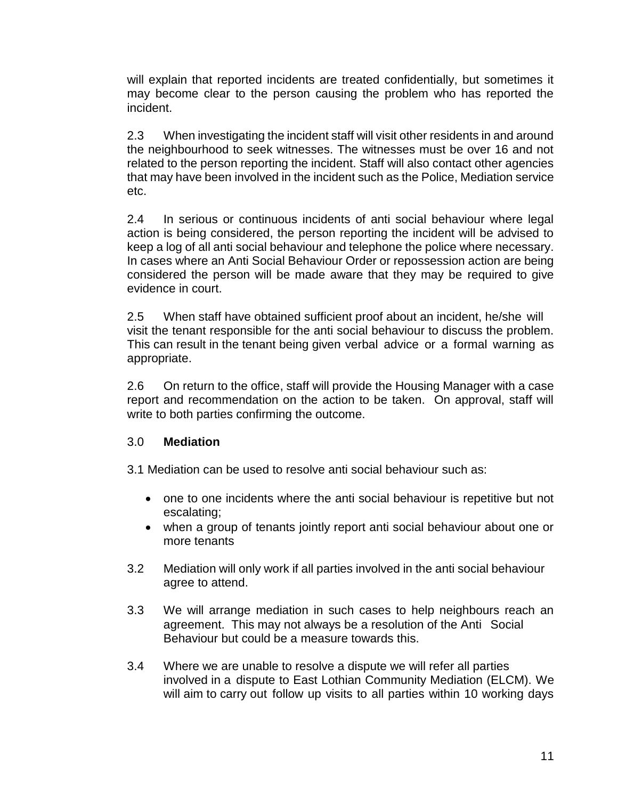will explain that reported incidents are treated confidentially, but sometimes it may become clear to the person causing the problem who has reported the incident.

2.3 When investigating the incident staff will visit other residents in and around the neighbourhood to seek witnesses. The witnesses must be over 16 and not related to the person reporting the incident. Staff will also contact other agencies that may have been involved in the incident such as the Police, Mediation service etc.

2.4 In serious or continuous incidents of anti social behaviour where legal action is being considered, the person reporting the incident will be advised to keep a log of all anti social behaviour and telephone the police where necessary. In cases where an Anti Social Behaviour Order or repossession action are being considered the person will be made aware that they may be required to give evidence in court.

2.5 When staff have obtained sufficient proof about an incident, he/she will visit the tenant responsible for the anti social behaviour to discuss the problem. This can result in the tenant being given verbal advice or a formal warning as appropriate.

2.6 On return to the office, staff will provide the Housing Manager with a case report and recommendation on the action to be taken. On approval, staff will write to both parties confirming the outcome.

#### 3.0 **Mediation**

3.1 Mediation can be used to resolve anti social behaviour such as:

- one to one incidents where the anti social behaviour is repetitive but not escalating;
- when a group of tenants jointly report anti social behaviour about one or more tenants
- 3.2 Mediation will only work if all parties involved in the anti social behaviour agree to attend.
- 3.3 We will arrange mediation in such cases to help neighbours reach an agreement. This may not always be a resolution of the Anti Social Behaviour but could be a measure towards this.
- 3.4 Where we are unable to resolve a dispute we will refer all parties involved in a dispute to East Lothian Community Mediation (ELCM). We will aim to carry out follow up visits to all parties within 10 working days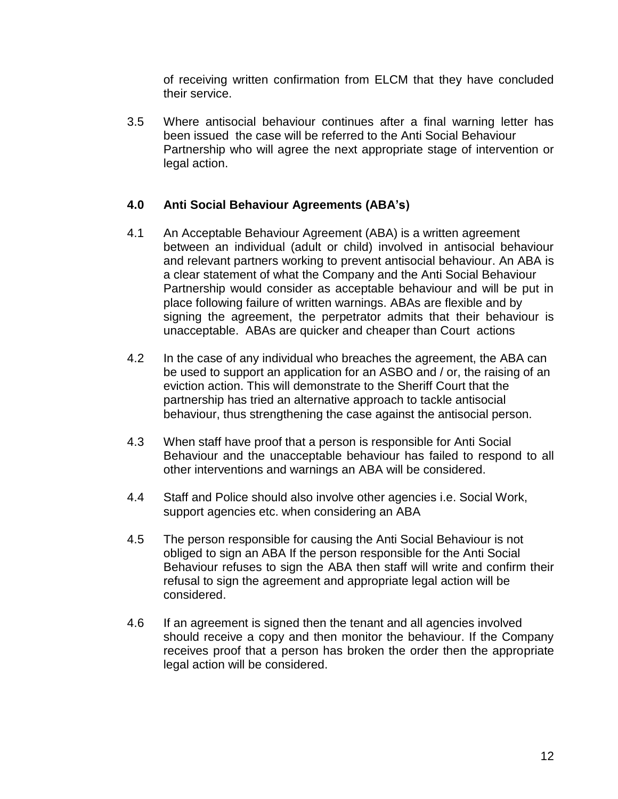of receiving written confirmation from ELCM that they have concluded their service.

3.5 Where antisocial behaviour continues after a final warning letter has been issued the case will be referred to the Anti Social Behaviour Partnership who will agree the next appropriate stage of intervention or legal action.

#### **4.0 Anti Social Behaviour Agreements (ABA's)**

- 4.1 An Acceptable Behaviour Agreement (ABA) is a written agreement between an individual (adult or child) involved in antisocial behaviour and relevant partners working to prevent antisocial behaviour. An ABA is a clear statement of what the Company and the Anti Social Behaviour Partnership would consider as acceptable behaviour and will be put in place following failure of written warnings. ABAs are flexible and by signing the agreement, the perpetrator admits that their behaviour is unacceptable. ABAs are quicker and cheaper than Court actions
- 4.2 In the case of any individual who breaches the agreement, the ABA can be used to support an application for an ASBO and / or, the raising of an eviction action. This will demonstrate to the Sheriff Court that the partnership has tried an alternative approach to tackle antisocial behaviour, thus strengthening the case against the antisocial person.
- 4.3 When staff have proof that a person is responsible for Anti Social Behaviour and the unacceptable behaviour has failed to respond to all other interventions and warnings an ABA will be considered.
- 4.4 Staff and Police should also involve other agencies i.e. Social Work, support agencies etc. when considering an ABA
- 4.5 The person responsible for causing the Anti Social Behaviour is not obliged to sign an ABA If the person responsible for the Anti Social Behaviour refuses to sign the ABA then staff will write and confirm their refusal to sign the agreement and appropriate legal action will be considered.
- 4.6 If an agreement is signed then the tenant and all agencies involved should receive a copy and then monitor the behaviour. If the Company receives proof that a person has broken the order then the appropriate legal action will be considered.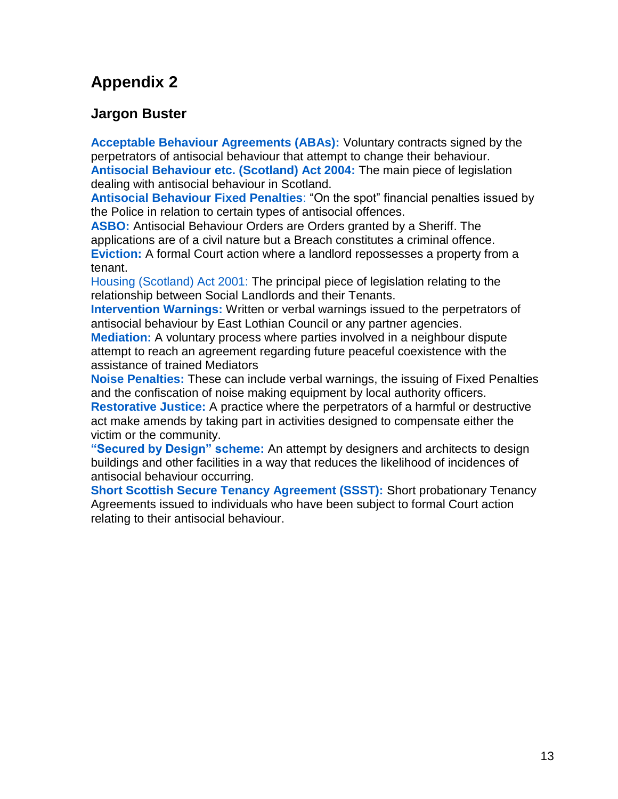# **Appendix 2**

## **Jargon Buster**

**Acceptable Behaviour Agreements (ABAs):** Voluntary contracts signed by the perpetrators of antisocial behaviour that attempt to change their behaviour. **Antisocial Behaviour etc. (Scotland) Act 2004:** The main piece of legislation dealing with antisocial behaviour in Scotland.

**Antisocial Behaviour Fixed Penalties**: "On the spot" financial penalties issued by the Police in relation to certain types of antisocial offences.

**ASBO:** Antisocial Behaviour Orders are Orders granted by a Sheriff. The applications are of a civil nature but a Breach constitutes a criminal offence. **Eviction:** A formal Court action where a landlord repossesses a property from a tenant.

Housing (Scotland) Act 2001: The principal piece of legislation relating to the relationship between Social Landlords and their Tenants.

**Intervention Warnings:** Written or verbal warnings issued to the perpetrators of antisocial behaviour by East Lothian Council or any partner agencies.

**Mediation:** A voluntary process where parties involved in a neighbour dispute attempt to reach an agreement regarding future peaceful coexistence with the assistance of trained Mediators

**Noise Penalties:** These can include verbal warnings, the issuing of Fixed Penalties and the confiscation of noise making equipment by local authority officers.

**Restorative Justice:** A practice where the perpetrators of a harmful or destructive act make amends by taking part in activities designed to compensate either the victim or the community.

**"Secured by Design" scheme:** An attempt by designers and architects to design buildings and other facilities in a way that reduces the likelihood of incidences of antisocial behaviour occurring.

**Short Scottish Secure Tenancy Agreement (SSST):** Short probationary Tenancy Agreements issued to individuals who have been subject to formal Court action relating to their antisocial behaviour.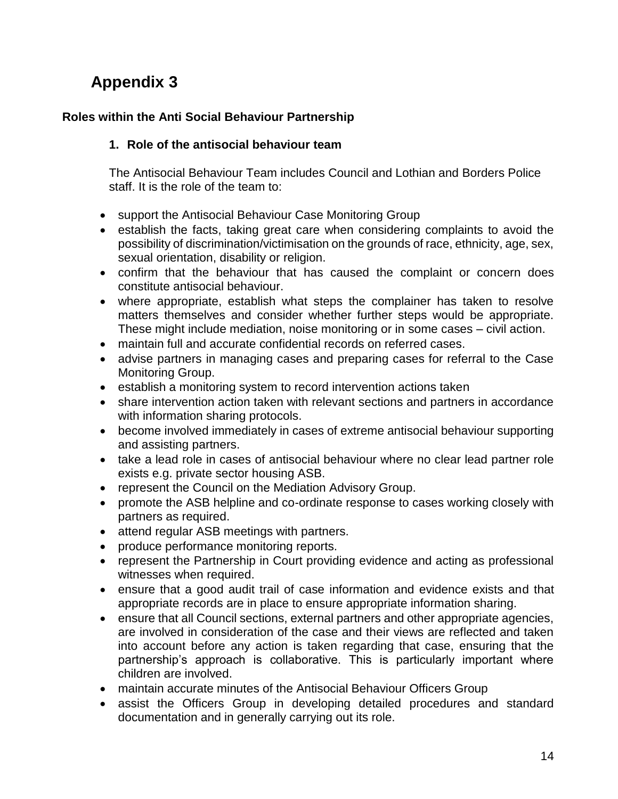# **Appendix 3**

#### **Roles within the Anti Social Behaviour Partnership**

#### **1. Role of the antisocial behaviour team**

The Antisocial Behaviour Team includes Council and Lothian and Borders Police staff. It is the role of the team to:

- support the Antisocial Behaviour Case Monitoring Group
- establish the facts, taking great care when considering complaints to avoid the possibility of discrimination/victimisation on the grounds of race, ethnicity, age, sex, sexual orientation, disability or religion.
- confirm that the behaviour that has caused the complaint or concern does constitute antisocial behaviour.
- where appropriate, establish what steps the complainer has taken to resolve matters themselves and consider whether further steps would be appropriate. These might include mediation, noise monitoring or in some cases – civil action.
- maintain full and accurate confidential records on referred cases.
- advise partners in managing cases and preparing cases for referral to the Case Monitoring Group.
- establish a monitoring system to record intervention actions taken
- share intervention action taken with relevant sections and partners in accordance with information sharing protocols.
- become involved immediately in cases of extreme antisocial behaviour supporting and assisting partners.
- take a lead role in cases of antisocial behaviour where no clear lead partner role exists e.g. private sector housing ASB.
- represent the Council on the Mediation Advisory Group.
- promote the ASB helpline and co-ordinate response to cases working closely with partners as required.
- attend regular ASB meetings with partners.
- produce performance monitoring reports.
- represent the Partnership in Court providing evidence and acting as professional witnesses when required.
- ensure that a good audit trail of case information and evidence exists and that appropriate records are in place to ensure appropriate information sharing.
- ensure that all Council sections, external partners and other appropriate agencies, are involved in consideration of the case and their views are reflected and taken into account before any action is taken regarding that case, ensuring that the partnership's approach is collaborative. This is particularly important where children are involved.
- maintain accurate minutes of the Antisocial Behaviour Officers Group
- assist the Officers Group in developing detailed procedures and standard documentation and in generally carrying out its role.